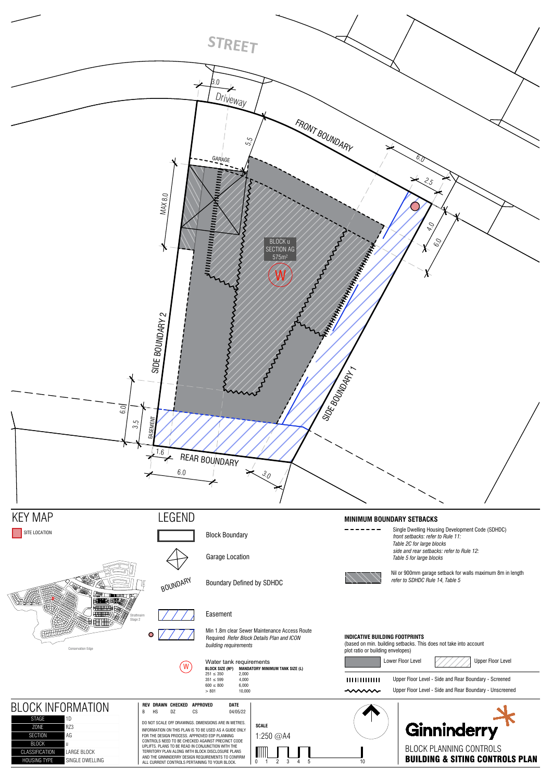